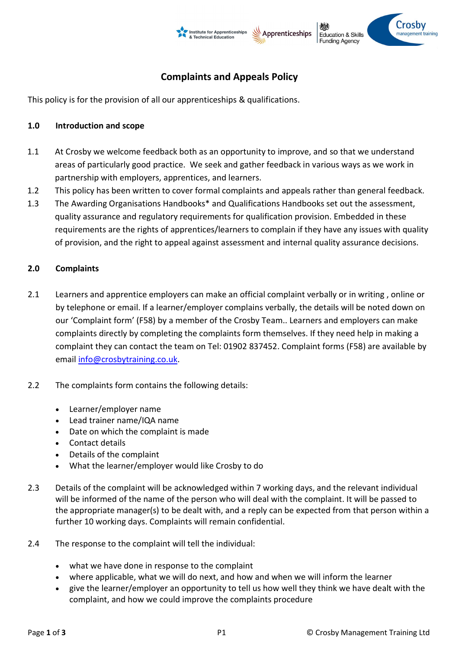

# Complaints and Appeals Policy

This policy is for the provision of all our apprenticeships & qualifications.

### 1.0 Introduction and scope

- 1.1 At Crosby we welcome feedback both as an opportunity to improve, and so that we understand areas of particularly good practice. We seek and gather feedback in various ways as we work in partnership with employers, apprentices, and learners.
- 1.2 This policy has been written to cover formal complaints and appeals rather than general feedback.
- 1.3 The Awarding Organisations Handbooks\* and Qualifications Handbooks set out the assessment, quality assurance and regulatory requirements for qualification provision. Embedded in these requirements are the rights of apprentices/learners to complain if they have any issues with quality of provision, and the right to appeal against assessment and internal quality assurance decisions.

# 2.0 Complaints

- 2.1 Learners and apprentice employers can make an official complaint verbally or in writing , online or by telephone or email. If a learner/employer complains verbally, the details will be noted down on our 'Complaint form' (F58) by a member of the Crosby Team.. Learners and employers can make complaints directly by completing the complaints form themselves. If they need help in making a complaint they can contact the team on Tel: 01902 837452. Complaint forms (F58) are available by email info@crosbytraining.co.uk.
- 2.2 The complaints form contains the following details:
	- Learner/employer name
	- Lead trainer name/IQA name
	- Date on which the complaint is made
	- Contact details
	- Details of the complaint
	- What the learner/employer would like Crosby to do
- 2.3 Details of the complaint will be acknowledged within 7 working days, and the relevant individual will be informed of the name of the person who will deal with the complaint. It will be passed to the appropriate manager(s) to be dealt with, and a reply can be expected from that person within a further 10 working days. Complaints will remain confidential.
- 2.4 The response to the complaint will tell the individual:
	- what we have done in response to the complaint
	- where applicable, what we will do next, and how and when we will inform the learner
	- give the learner/employer an opportunity to tell us how well they think we have dealt with the complaint, and how we could improve the complaints procedure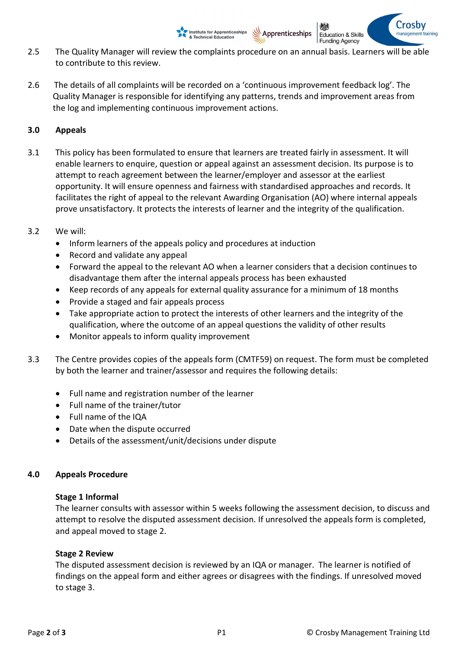2.5 The Quality Manager will review the complaints procedure on an annual basis. Learners will be able to contribute to this review.

Apprenticeships

Education & Skills **Funding Agency** 

**Institute for Apprenticeships**<br>& Technical Education

2.6 The details of all complaints will be recorded on a 'continuous improvement feedback log'. The Quality Manager is responsible for identifying any patterns, trends and improvement areas from the log and implementing continuous improvement actions.

# 3.0 Appeals

- 3.1 This policy has been formulated to ensure that learners are treated fairly in assessment. It will enable learners to enquire, question or appeal against an assessment decision. Its purpose is to attempt to reach agreement between the learner/employer and assessor at the earliest opportunity. It will ensure openness and fairness with standardised approaches and records. It facilitates the right of appeal to the relevant Awarding Organisation (AO) where internal appeals prove unsatisfactory. It protects the interests of learner and the integrity of the qualification.
- 3.2 We will:
	- Inform learners of the appeals policy and procedures at induction
	- Record and validate any appeal
	- Forward the appeal to the relevant AO when a learner considers that a decision continues to disadvantage them after the internal appeals process has been exhausted
	- Keep records of any appeals for external quality assurance for a minimum of 18 months
	- Provide a staged and fair appeals process
	- Take appropriate action to protect the interests of other learners and the integrity of the qualification, where the outcome of an appeal questions the validity of other results
	- Monitor appeals to inform quality improvement
- 3.3 The Centre provides copies of the appeals form (CMTF59) on request. The form must be completed by both the learner and trainer/assessor and requires the following details:
	- Full name and registration number of the learner
	- Full name of the trainer/tutor
	- Full name of the IQA
	- Date when the dispute occurred
	- Details of the assessment/unit/decisions under dispute

# 4.0 Appeals Procedure

#### Stage 1 Informal

The learner consults with assessor within 5 weeks following the assessment decision, to discuss and attempt to resolve the disputed assessment decision. If unresolved the appeals form is completed, and appeal moved to stage 2.

### Stage 2 Review

The disputed assessment decision is reviewed by an IQA or manager. The learner is notified of findings on the appeal form and either agrees or disagrees with the findings. If unresolved moved to stage 3.

'roshy